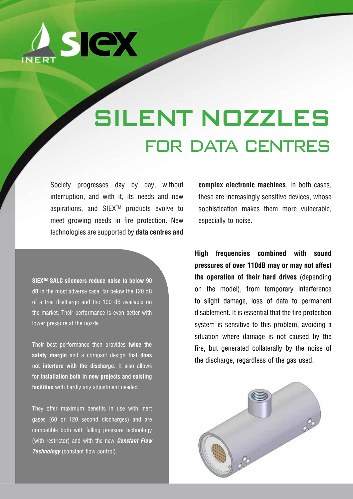

# SILENT NOZZLES for data centres

Society progresses day by day, without interruption, and with it, its needs and new aspirations, and SIEXTM products evolve to meet growing needs in fire protection. New technologies are supported by **data centres and** 

**SIEXTM SALC silencers reduce noise to below 90 dB** in the most adverse case, far below the 120 dB of a free discharge and the 100 dB available on the market. Their performance is even better with lower pressure at the nozzle.

Their best performance then provides **twice the safety margin** and a compact design that **does not interfere with the discharge.** It also allows for **installation both in new projects and existing facilities** with hardly any adjustment needed.

They offer maximum benefits in use with inert gases (60 or 120 second discharges) and are compatible both with falling pressure technology (with restrictor) and with the new *Constant Flow Technology* (constant flow control).

**complex electronic machines**. In both cases, these are increasingly sensitive devices, whose sophistication makes them more vulnerable, especially to noise.

**High frequencies combined with sound pressures of over 110dB may or may not affect the operation of their hard drives** (depending on the model), from temporary interference to slight damage, loss of data to permanent disablement. It is essential that the fire protection system is sensitive to this problem, avoiding a situation where damage is not caused by the fire, but generated collaterally by the noise of the discharge, regardless of the gas used.